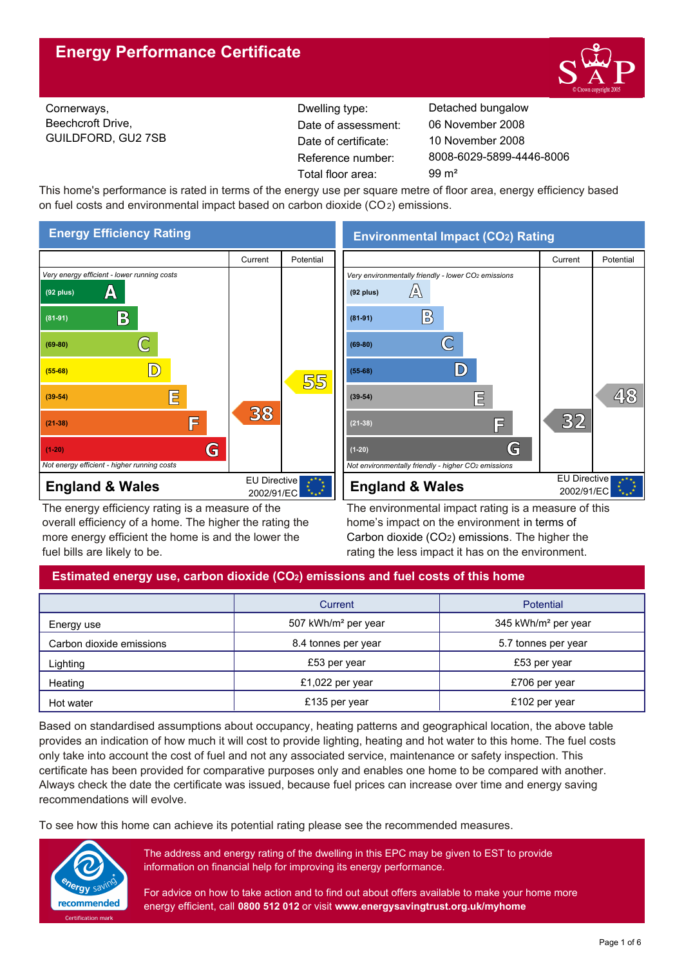

Cornerways, Beechcroft Drive, GUILDFORD, GU2 7SB Reference number: Date of certificate: Total floor area: 99 m<sup>2</sup> Date of assessment:

Dwelling type: Detached bungalow 8008-6029-5899-4446-8006 10 November 2008 06 November 2008

This home's performance is rated in terms of the energy use per square metre of floor area, energy efficiency based on fuel costs and environmental impact based on carbon dioxide (CO2) emissions.



The energy efficiency rating is a measure of the overall efficiency of a home. The higher the rating the more energy efficient the home is and the lower the fuel bills are likely to be.

**Environmental Impact (CO2) Rating**



The environmental impact rating is a measure of this home's impact on the environment in terms of Carbon dioxide (CO2) emissions. The higher the rating the less impact it has on the environment.

## **Estimated energy use, carbon dioxide (CO2) emissions and fuel costs of this home**

|                          | Current                         | Potential                       |
|--------------------------|---------------------------------|---------------------------------|
| Energy use               | 507 kWh/m <sup>2</sup> per year | 345 kWh/m <sup>2</sup> per year |
| Carbon dioxide emissions | 8.4 tonnes per year             | 5.7 tonnes per year             |
| Lighting                 | £53 per year                    | £53 per year                    |
| Heating                  | £1,022 per year                 | £706 per year                   |
| Hot water                | £135 per year                   | £102 per year                   |

Based on standardised assumptions about occupancy, heating patterns and geographical location, the above table provides an indication of how much it will cost to provide lighting, heating and hot water to this home. The fuel costs only take into account the cost of fuel and not any associated service, maintenance or safety inspection. This certificate has been provided for comparative purposes only and enables one home to be compared with another. Always check the date the certificate was issued, because fuel prices can increase over time and energy saving recommendations will evolve.

To see how this home can achieve its potential rating please see the recommended measures.



The address and energy rating of the dwelling in this EPC may be given to EST to provide information on financial help for improving its energy performance.

For advice on how to take action and to find out about offers available to make your home more energy efficient, call **0800 512 012** or visit **www.energysavingtrust.org.uk/myhome**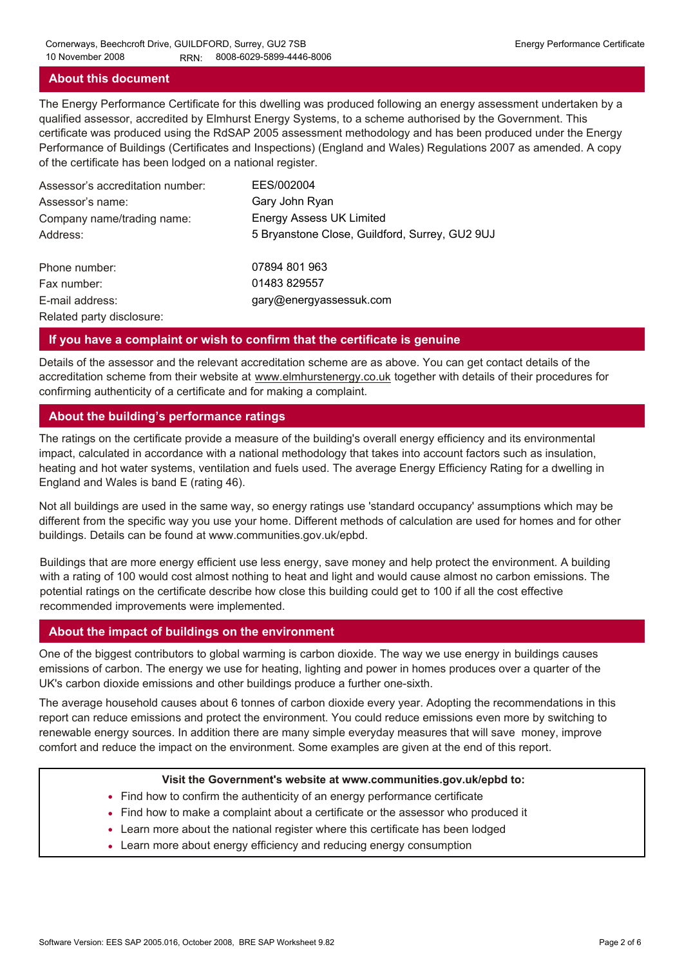### **About this document**

The Energy Performance Certificate for this dwelling was produced following an energy assessment undertaken by a qualified assessor, accredited by Elmhurst Energy Systems, to a scheme authorised by the Government. This certificate was produced using the RdSAP 2005 assessment methodology and has been produced under the Energy Performance of Buildings (Certificates and Inspections) (England and Wales) Regulations 2007 as amended. A copy of the certificate has been lodged on a national register.

| Assessor's accreditation number: | EES/002004                                     |
|----------------------------------|------------------------------------------------|
| Assessor's name:                 | Gary John Ryan                                 |
| Company name/trading name:       | <b>Energy Assess UK Limited</b>                |
| Address:                         | 5 Bryanstone Close, Guildford, Surrey, GU2 9UJ |
| Phone number:                    | 07894 801 963                                  |
| Fax number:                      | 01483 829557                                   |
| E-mail address:                  | gary@energyassessuk.com                        |
| Related party disclosure:        |                                                |

### **If you have a complaint or wish to confirm that the certificate is genuine**

Details of the assessor and the relevant accreditation scheme are as above. You can get contact details of the accreditation scheme from their website at www.elmhurstenergy.co.uk together with details of their procedures for confirming authenticity of a certificate and for making a complaint.

### **About the building's performance ratings**

The ratings on the certificate provide a measure of the building's overall energy efficiency and its environmental impact, calculated in accordance with a national methodology that takes into account factors such as insulation, heating and hot water systems, ventilation and fuels used. The average Energy Efficiency Rating for a dwelling in England and Wales is band E (rating 46).

Not all buildings are used in the same way, so energy ratings use 'standard occupancy' assumptions which may be different from the specific way you use your home. Different methods of calculation are used for homes and for other buildings. Details can be found at www.communities.gov.uk/epbd.

Buildings that are more energy efficient use less energy, save money and help protect the environment. A building with a rating of 100 would cost almost nothing to heat and light and would cause almost no carbon emissions. The potential ratings on the certificate describe how close this building could get to 100 if all the cost effective recommended improvements were implemented.

### **About the impact of buildings on the environment**

One of the biggest contributors to global warming is carbon dioxide. The way we use energy in buildings causes emissions of carbon. The energy we use for heating, lighting and power in homes produces over a quarter of the UK's carbon dioxide emissions and other buildings produce a further one-sixth.

The average household causes about 6 tonnes of carbon dioxide every year. Adopting the recommendations in this report can reduce emissions and protect the environment. You could reduce emissions even more by switching to renewable energy sources. In addition there are many simple everyday measures that will save money, improve comfort and reduce the impact on the environment. Some examples are given at the end of this report.

#### **Visit the Government's website at www.communities.gov.uk/epbd to:**

- Find how to confirm the authenticity of an energy performance certificate
- Find how to make a complaint about a certificate or the assessor who produced it •
- Learn more about the national register where this certificate has been lodged •
- Learn more about energy efficiency and reducing energy consumption •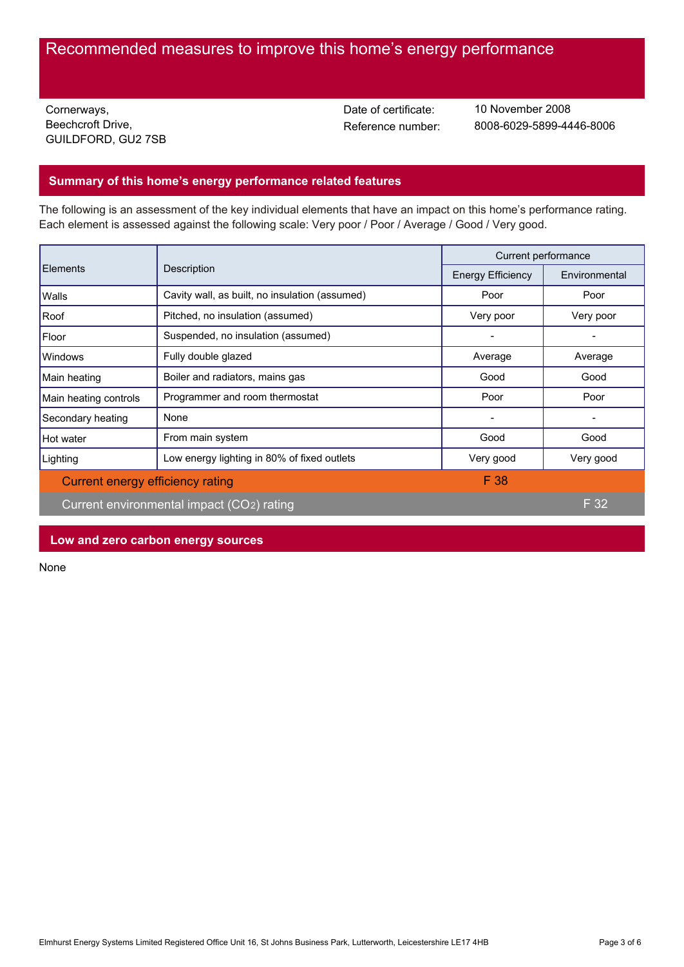# Recommended measures to improve this home's energy performance

Cornerways, Beechcroft Drive, GUILDFORD, GU2 7SB Date of certificate:

Reference number: 8008-6029-5899-4446-8006 10 November 2008

### **Summary of this home's energy performance related features**

The following is an assessment of the key individual elements that have an impact on this home's performance rating. Each element is assessed against the following scale: Very poor / Poor / Average / Good / Very good.

| Description<br>Elements          |                                                | Current performance |           |
|----------------------------------|------------------------------------------------|---------------------|-----------|
|                                  | <b>Energy Efficiency</b>                       | Environmental       |           |
| Walls                            | Cavity wall, as built, no insulation (assumed) | Poor                | Poor      |
| Roof                             | Pitched, no insulation (assumed)               | Very poor           | Very poor |
| Floor                            | Suspended, no insulation (assumed)             |                     |           |
| Windows                          | Fully double glazed                            | Average             | Average   |
| Main heating                     | Boiler and radiators, mains gas                | Good                | Good      |
| Main heating controls            | Programmer and room thermostat                 | Poor                | Poor      |
| Secondary heating                | None                                           |                     |           |
| Hot water                        | From main system                               | Good                | Good      |
| Lighting                         | Low energy lighting in 80% of fixed outlets    | Very good           | Very good |
| Current energy efficiency rating |                                                | F 38                |           |
|                                  | Current environmental impact (CO2) rating      |                     | F 32      |

**Low and zero carbon energy sources**

None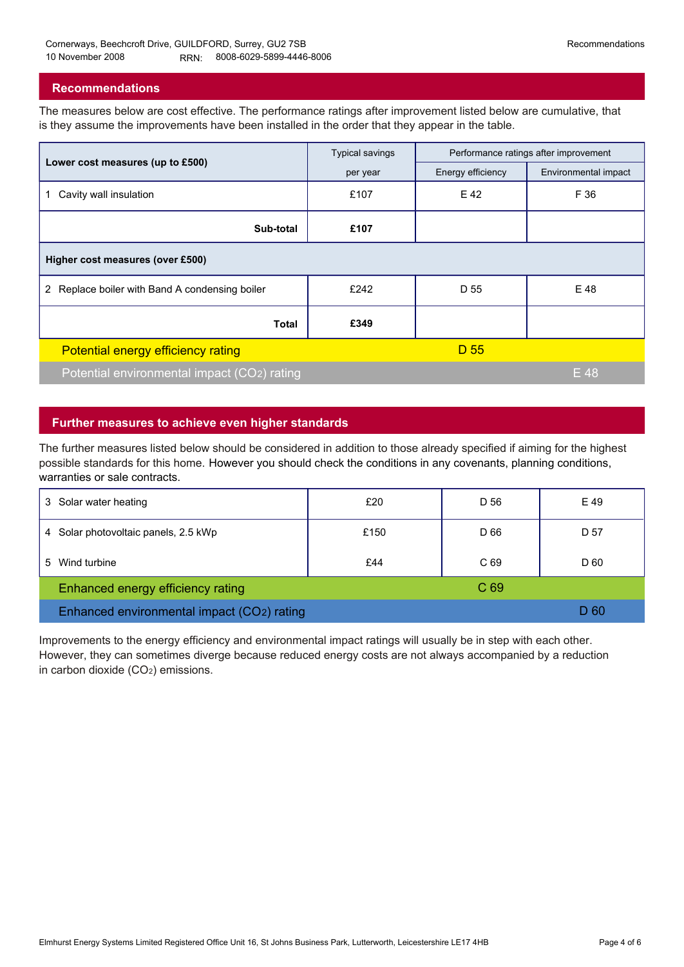### **Recommendations**

The measures below are cost effective. The performance ratings after improvement listed below are cumulative, that is they assume the improvements have been installed in the order that they appear in the table.

|                                                | <b>Typical savings</b> | Performance ratings after improvement |                      |  |  |  |
|------------------------------------------------|------------------------|---------------------------------------|----------------------|--|--|--|
| Lower cost measures (up to £500)               | per year               | Energy efficiency                     | Environmental impact |  |  |  |
| Cavity wall insulation                         | £107                   | E 42                                  | F 36                 |  |  |  |
| Sub-total                                      | £107                   |                                       |                      |  |  |  |
| Higher cost measures (over £500)               |                        |                                       |                      |  |  |  |
| 2 Replace boiler with Band A condensing boiler | £242                   | D 55                                  | E 48                 |  |  |  |
| <b>Total</b>                                   | £349                   |                                       |                      |  |  |  |
| Potential energy efficiency rating             |                        | D 55                                  |                      |  |  |  |
| Potential environmental impact (CO2) rating    |                        |                                       | E 48                 |  |  |  |

### **Further measures to achieve even higher standards**

The further measures listed below should be considered in addition to those already specified if aiming for the highest possible standards for this home. However you should check the conditions in any covenants, planning conditions, warranties or sale contracts.

| 3 Solar water heating                      | £20             | D 56 | E 49 |
|--------------------------------------------|-----------------|------|------|
| 4 Solar photovoltaic panels, 2.5 kWp       | £150            | D 66 | D 57 |
| 5 Wind turbine                             | £44             | C 69 | D 60 |
| Enhanced energy efficiency rating          | C <sub>69</sub> |      |      |
| Enhanced environmental impact (CO2) rating |                 |      | D 60 |

Improvements to the energy efficiency and environmental impact ratings will usually be in step with each other. However, they can sometimes diverge because reduced energy costs are not always accompanied by a reduction in carbon dioxide (CO2) emissions.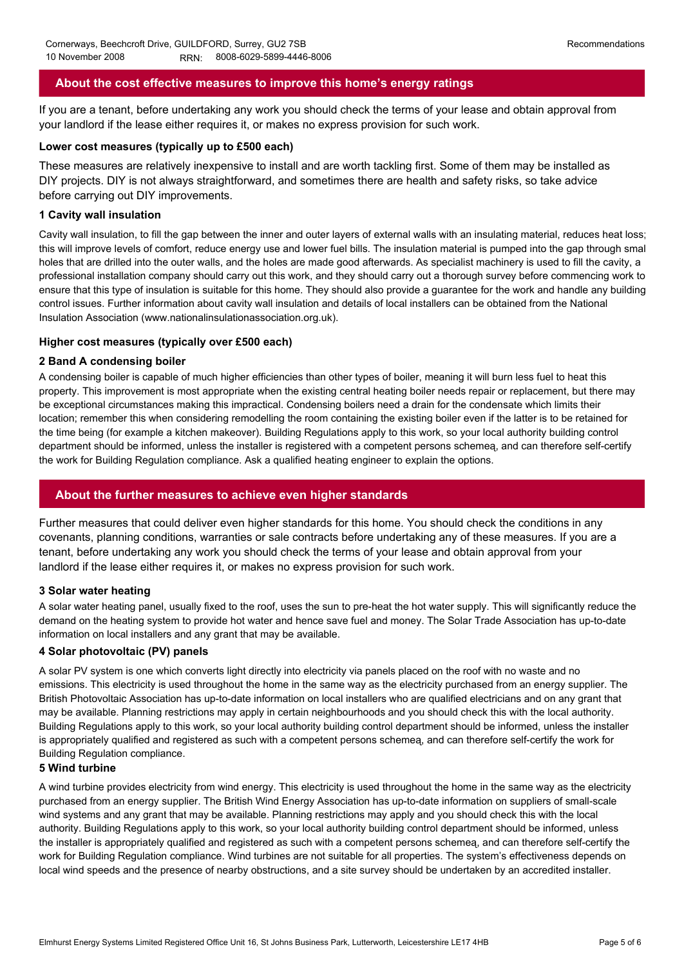### **About the cost effective measures to improve this home's energy ratings**

If you are a tenant, before undertaking any work you should check the terms of your lease and obtain approval from your landlord if the lease either requires it, or makes no express provision for such work.

### **Lower cost measures (typically up to £500 each)**

These measures are relatively inexpensive to install and are worth tackling first. Some of them may be installed as DIY projects. DIY is not always straightforward, and sometimes there are health and safety risks, so take advice before carrying out DIY improvements.

### **1 Cavity wall insulation**

Cavity wall insulation, to fill the gap between the inner and outer layers of external walls with an insulating material, reduces heat loss; this will improve levels of comfort, reduce energy use and lower fuel bills. The insulation material is pumped into the gap through small holes that are drilled into the outer walls, and the holes are made good afterwards. As specialist machinery is used to fill the cavity, a professional installation company should carry out this work, and they should carry out a thorough survey before commencing work to ensure that this type of insulation is suitable for this home. They should also provide a guarantee for the work and handle any building control issues. Further information about cavity wall insulation and details of local installers can be obtained from the National Insulation Association (www.nationalinsulationassociation.org.uk).

### **Higher cost measures (typically over £500 each)**

### **2 Band A condensing boiler**

A condensing boiler is capable of much higher efficiencies than other types of boiler, meaning it will burn less fuel to heat this property. This improvement is most appropriate when the existing central heating boiler needs repair or replacement, but there may be exceptional circumstances making this impractical. Condensing boilers need a drain for the condensate which limits their location; remember this when considering remodelling the room containing the existing boiler even if the latter is to be retained for the time being (for example a kitchen makeover). Building Regulations apply to this work, so your local authority building control department should be informed, unless the installer is registered with a competent persons schemeą, and can therefore self-certify the work for Building Regulation compliance. Ask a qualified heating engineer to explain the options.

### **About the further measures to achieve even higher standards**

Further measures that could deliver even higher standards for this home. You should check the conditions in any covenants, planning conditions, warranties or sale contracts before undertaking any of these measures. If you are a tenant, before undertaking any work you should check the terms of your lease and obtain approval from your landlord if the lease either requires it, or makes no express provision for such work.

#### **3 Solar water heating**

A solar water heating panel, usually fixed to the roof, uses the sun to pre-heat the hot water supply. This will significantly reduce the demand on the heating system to provide hot water and hence save fuel and money. The Solar Trade Association has up-to-date information on local installers and any grant that may be available.

### **4 Solar photovoltaic (PV) panels**

A solar PV system is one which converts light directly into electricity via panels placed on the roof with no waste and no emissions. This electricity is used throughout the home in the same way as the electricity purchased from an energy supplier. The British Photovoltaic Association has up-to-date information on local installers who are qualified electricians and on any grant that may be available. Planning restrictions may apply in certain neighbourhoods and you should check this with the local authority. Building Regulations apply to this work, so your local authority building control department should be informed, unless the installer is appropriately qualified and registered as such with a competent persons schemeą, and can therefore self-certify the work for Building Regulation compliance.

#### **5 Wind turbine**

A wind turbine provides electricity from wind energy. This electricity is used throughout the home in the same way as the electricity purchased from an energy supplier. The British Wind Energy Association has up-to-date information on suppliers of small-scale wind systems and any grant that may be available. Planning restrictions may apply and you should check this with the local authority. Building Regulations apply to this work, so your local authority building control department should be informed, unless the installer is appropriately qualified and registered as such with a competent persons schemeą, and can therefore self-certify the work for Building Regulation compliance. Wind turbines are not suitable for all properties. The system's effectiveness depends on local wind speeds and the presence of nearby obstructions, and a site survey should be undertaken by an accredited installer.